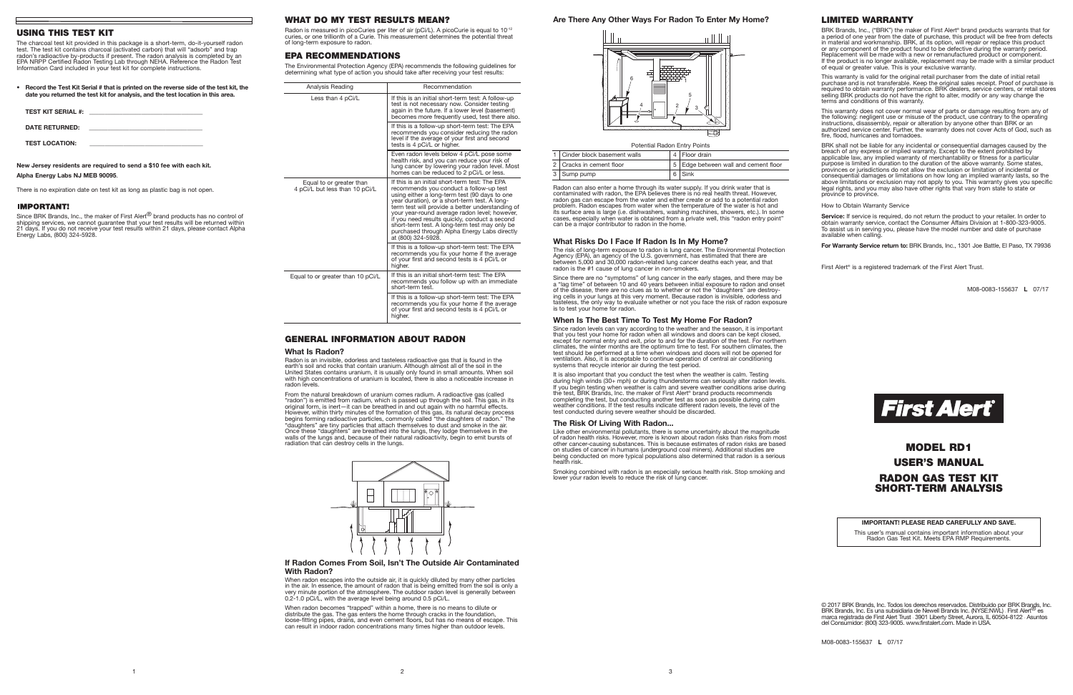# MODEL RD1 USER'S MANUAL RADON GAS TEST KIT SHORT-TERM ANALYSIS

# LIMITED WARRANTY

BRK Brands, Inc., ("BRK") the maker of First Alert® brand products warrants that for a period of one year from the date of purchase, this product will be free from defects in material and workmanship. BRK, at its option, will repair or replace this product or any component of the product found to be defective during the warranty period. Replacement will be made with a new or remanufactured product or component. If the product is no longer available, replacement may be made with a similar product of equal or greater value. This is your exclusive warranty.

This warranty is valid for the original retail purchaser from the date of initial retail purchase and is not transferable. Keep the original sales receipt. Proof of purchase is<br>required to obtain warranty performance. BRK dealers, service centers, or retail stores<br>selling BRK products do not have the right to terms and conditions of this warranty.

Service: If service is required, do not return the product to your retailer. In order to<br>obtain warranty service, contact the Consumer Affairs Division at 1-800-323-9005. To assist us in serving you, please have the model number and date of purchase available when calling.

For Warranty Service return to: BRK Brands, Inc., 1301 Joe Battle, El Paso, TX 79936

First Alert<sup>®</sup> is a registered trademark of the First Alert Trust.

This warranty does not cover normal wear of parts or damage resulting from any of the following: negligent use or misuse of the product, use contrary to the operating<br>instructions, disassembly, repair or alteration by anyone other than BRK or an<br>authorized service center. Further, the warranty does not fire, flood, hurricanes and tornadoes.

Radon is measured in picoCuries per liter of air (pCi/L). A picoCurie is equal to 10<sup>-12</sup> curies, or one trillionth of a Curie. This measurement determines the potential threat of long-term exposure to radon.

> BRK shall not be liable for any incidental or consequential damages caused by the breach of any express or implied warranty. Except to the extent prohibited by applicable law, any implied warranty of merchantability or fitness for a particular purpose is limited in duration to the duration of the above warranty. Some states, provinces or jurisdictions do not allow the exclusion or limitation of incidental or consequential damages or limitations on how long an implied warranty lasts, so the above limitations or exclusion may not apply to you. This warranty gives you specific legal rights, and you may also have other rights that vary from state to state or province to province.

# How to Obtain Warranty Service

M08-0083-155637 L 07/17



# IMPORTANT! PLEASE READ CAREFULLY AND SAVE.

This user's manual contains important information about your Radon Gas Test Kit. Meets EPA RMP Requirements.

# WHAT DO MY TEST RESULTS MEAN?

# EPA RECOMMENDATIONS

The Environmental Protection Agency (EPA) recommends the following guidelines for determining what type of action you should take after receiving your test results:

| Analysis Reading                                           | Recommendation                                                                                                                                                                                                                                                                                                                                                                                                                                                           |
|------------------------------------------------------------|--------------------------------------------------------------------------------------------------------------------------------------------------------------------------------------------------------------------------------------------------------------------------------------------------------------------------------------------------------------------------------------------------------------------------------------------------------------------------|
| Less than 4 pCi/L                                          | If this is an initial short-term test: A follow-up<br>test is not necessary now. Consider testing<br>again in the future. If a lower level (basement)<br>becomes more frequently used, test there also.                                                                                                                                                                                                                                                                  |
|                                                            | If this is a follow-up short-term test: The EPA<br>recommends you consider reducing the radon<br>level if the average of your first and second<br>tests is 4 pCi/L or higher.                                                                                                                                                                                                                                                                                            |
|                                                            | Even radon levels below 4 pCi/L pose some<br>health risk, and you can reduce your risk of<br>lung cancer by lowering your radon level. Most<br>homes can be reduced to 2 pCi/L or less.                                                                                                                                                                                                                                                                                  |
| Equal to or greater than<br>4 pCi/L but less than 10 pCi/L | If this is an initial short-term test: The EPA<br>recommends you conduct a follow-up test<br>using either a long-term test (90 days to one<br>year duration), or a short-term test. A long-<br>term test will provide a better understanding of<br>your year-round average radon level; however,<br>if you need results quickly, conduct a second<br>short-term test. A long-term test may only be<br>purchased through Alpha Energy Labs directly<br>at (800) 324-5928. |
|                                                            | If this is a follow-up short-term test: The EPA<br>recommends you fix your home if the average<br>of your first and second tests is 4 pCi/L or<br>higher.                                                                                                                                                                                                                                                                                                                |
| Equal to or greater than 10 pCi/L                          | If this is an initial short-term test: The EPA<br>recommends you follow up with an immediate<br>short-term test.                                                                                                                                                                                                                                                                                                                                                         |
|                                                            | If this is a follow-up short-term test: The EPA<br>recommends you fix your home if the average<br>of your first and second tests is 4 pCi/L or<br>higher.                                                                                                                                                                                                                                                                                                                |

Since radon levels can vary according to the weather and the season, it is important that you test your home for radon when all windows and doors can be kept closed, except for normal entry and exit, prior to and for the duration of the test. For northern climates, the winter months are the optimum time to test. For southern climates, the test should be performed at a time when windows and doors will not be opened for ventilation. Also, it is acceptable to continue operation of central air conditioning systems that recycle interior air during the test period.

It is also important that you conduct the test when the weather is calm. Testing during high winds (30+ mph) or during thunderstorms can seriously alter radon levels. If you begin testing when weather is calm and severe weather conditions arise during the test, BRK Brands, Inc. the maker of First Alert® brand products recommends completing the test, but conducting another test as soon as possible during calm weather conditions. If the test results indicate different radon levels, the level of the test conducted during severe weather should be discarded.

# Are There Any Other Ways For Radon To Enter My Home?

Radon can also enter a home through its water supply. If you drink water that is contaminated with radon, the EPA believes there is no real health threat. However, radon gas can escape from the water and either create or add to a potential radon problem. Radon escapes from water when the temperature of the water is hot and its surface area is large (i.e. dishwashers, washing machines, showers, etc.). In some cases, especially when water is obtained from a private well, this "radon entry point" can be a major contributor to radon in the home.



## Potential Radon Entry Points

| 1 Cinder block basement walls | 4   Floor drain                        |
|-------------------------------|----------------------------------------|
| 2 Cracks in cement floor      | 5   Edge between wall and cement floor |
| 3 Sump pump                   |                                        |

# GENERAL INFORMATION ABOUT RADON

# What Is Radon?

Since BRK Brands, Inc., the maker of First Alert<sup>®</sup> brand products has no control of<br>shipping services, we cannot guarantee that your test results will be returned within 21 days. If you do not receive your test results within 21 days, please contact Alpha Energy Labs, (800) 324-5928.

> Radon is an invisible, odorless and tasteless radioactive gas that is found in the earth's soil and rocks that contain uranium. Although almost all of the soil in the United States contains uranium, it is usually only found in small amounts. When soil with high concentrations of uranium is located, there is also a noticeable increase in radon levels.

> From the natural breakdown of uranium comes radium. A radioactive gas (called "radon") is emitted from radium, which is passed up through the soil. This gas, in its original form, is inert—it can be breathed in and out again with no harmful effects. However, within thirty minutes of the formation of this gas, its natural decay process begins forming radioactive particles, commonly called "the daughters of radon." The "daughters" are tiny particles that attach themselves to dust and smoke in the air. Once these "daughters" are breathed into the lungs, they lodge themselves in the walls of the lungs and, because of their natural radioactivity, begin to emit bursts of radiation that can destroy cells in the lungs.



# If Radon Comes From Soil, Isn't The Outside Air Contaminated With Radon?

When radon escapes into the outside air, it is quickly diluted by many other particles in the air. In essence, the amount of radon that is being emitted from the soil is only a very minute portion of the atmosphere. The outdoor radon level is generally between 0.2-1.0 pCi/L, with the average level being around 0.5 pCi/L.

When radon becomes "trapped" within a home, there is no means to dilute or distribute the gas. The gas enters the home through cracks in the foundation, loose-fitting pipes, drains, and even cement floors, but has no means of escape. This can result in indoor radon concentrations many times higher than outdoor levels.

# What Risks Do I Face If Radon Is In My Home?

The risk of long-term exposure to radon is lung cancer. The Environmental Protection Agency (EPA), an agency of the U.S. government, has estimated that there are between 5,000 and 30,000 radon-related lung cancer deaths each year, and that radon is the #1 cause of lung cancer in non-smokers.

Since there are no "symptoms" of lung cancer in the early stages, and there may be a "lag time" of between 10 and 40 years between initial exposure to radon and onset of the disease, there are no clues as to whether or not the "daughters" are destroying cells in your lungs at this very moment. Because radon is invisible, odorless and tasteless, the only way to evaluate whether or not you face the risk of radon exposure is to test your home for radon.

# When Is The Best Time To Test My Home For Radon?

# The Risk Of Living With Radon...

Like other environmental pollutants, there is some uncertainty about the magnitude of radon health risks. However, more is known about radon risks than risks from most other cancer-causing substances. This is because estimates of radon risks are based on studies of cancer in humans (underground coal miners). Additional studies are being conducted on more typical populations also determined that radon is a serious health risk.

Smoking combined with radon is an especially serious health risk. Stop smoking and lower your radon levels to reduce the risk of lung cancer.

# USING THIS TEST KIT

The charcoal test kit provided in this package is a short-term, do-it-yourself radon test. The test kit contains charcoal (activated carbon) that will "adsorb" and trap radon's radioactive by-products if present. The radon analysis is completed by an EPA NRPP Certified Radon Testing Lab through NEHA. Reference the Radon Test Information Card included in your test kit for complete instructions.

• Record the Test Kit Serial # that is printed on the reverse side of the test kit, the date you returned the test kit for analysis, and the test location in this area.

| TEST KIT SERIAL #: |  |
|--------------------|--|
|                    |  |

| DATE RETURNED: |  |
|----------------|--|

**TEST LOCATION:** 

# New Jersey residents are required to send a \$10 fee with each kit. Alpha Energy Labs NJ MEB 90095.

There is no expiration date on test kit as long as plastic bag is not open.

# **IMPORTANT!**

© 2017 BRK Brands, Inc. Todos los derechos reservados. Distribuido por BRK Brands, Inc. BRK Brands, Inc. Es una subsidiaria de Newell Brands Inc. (NYSE:NWL) • First Alert® es<br>marca registrada de First Alert Trust • 3901 Liberty Street, Aurora, IL 60504-8122 • Asuntos del Consumidor: (800) 323-9005. www.firstalert.com. Made in USA.

M08-0083-155637 L 07/17